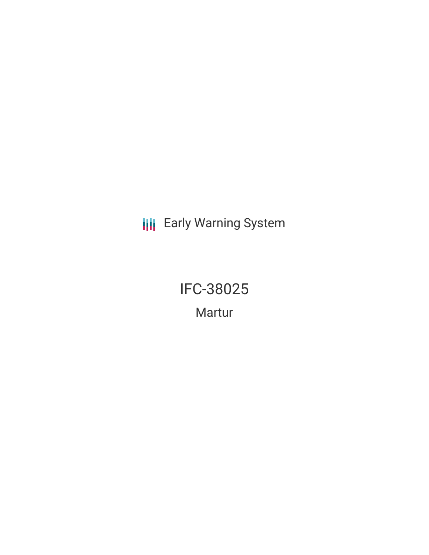**III** Early Warning System

IFC-38025 Martur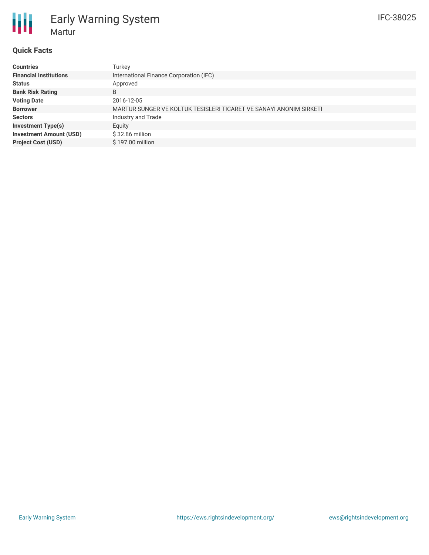# **Quick Facts**

| <b>Countries</b>               | Turkey                                                             |
|--------------------------------|--------------------------------------------------------------------|
| <b>Financial Institutions</b>  | International Finance Corporation (IFC)                            |
| <b>Status</b>                  | Approved                                                           |
| <b>Bank Risk Rating</b>        | B                                                                  |
| <b>Voting Date</b>             | 2016-12-05                                                         |
| <b>Borrower</b>                | MARTUR SUNGER VE KOLTUK TESISLERI TICARET VE SANAYI ANONIM SIRKETI |
| <b>Sectors</b>                 | Industry and Trade                                                 |
| <b>Investment Type(s)</b>      | Equity                                                             |
| <b>Investment Amount (USD)</b> | $$32.86$ million                                                   |
| <b>Project Cost (USD)</b>      | \$197.00 million                                                   |
|                                |                                                                    |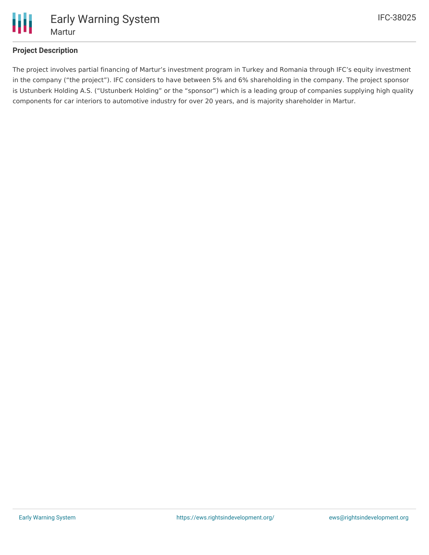

## **Project Description**

The project involves partial financing of Martur's investment program in Turkey and Romania through IFC's equity investment in the company ("the project"). IFC considers to have between 5% and 6% shareholding in the company. The project sponsor is Ustunberk Holding A.S. ("Ustunberk Holding" or the "sponsor") which is a leading group of companies supplying high quality components for car interiors to automotive industry for over 20 years, and is majority shareholder in Martur.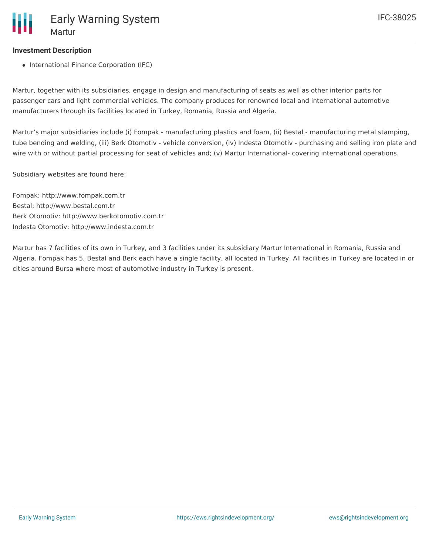### **Investment Description**

• International Finance Corporation (IFC)

Martur, together with its subsidiaries, engage in design and manufacturing of seats as well as other interior parts for passenger cars and light commercial vehicles. The company produces for renowned local and international automotive manufacturers through its facilities located in Turkey, Romania, Russia and Algeria.

Martur's major subsidiaries include (i) Fompak - manufacturing plastics and foam, (ii) Bestal - manufacturing metal stamping, tube bending and welding, (iii) Berk Otomotiv - vehicle conversion, (iv) Indesta Otomotiv - purchasing and selling iron plate and wire with or without partial processing for seat of vehicles and; (v) Martur International- covering international operations.

Subsidiary websites are found here:

Fompak: http://www.fompak.com.tr Bestal: http://www.bestal.com.tr Berk Otomotiv: http://www.berkotomotiv.com.tr Indesta Otomotiv: http://www.indesta.com.tr

Martur has 7 facilities of its own in Turkey, and 3 facilities under its subsidiary Martur International in Romania, Russia and Algeria. Fompak has 5, Bestal and Berk each have a single facility, all located in Turkey. All facilities in Turkey are located in or cities around Bursa where most of automotive industry in Turkey is present.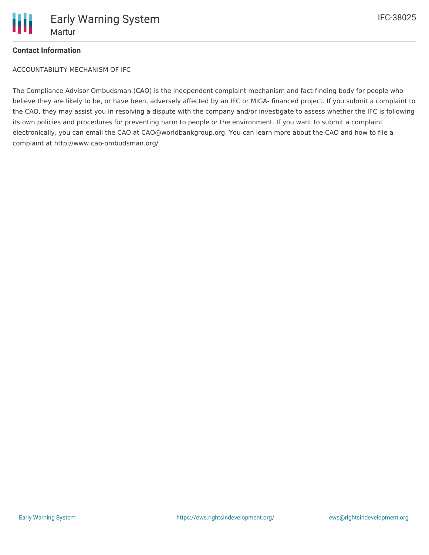

### **Contact Information**

ACCOUNTABILITY MECHANISM OF IFC

The Compliance Advisor Ombudsman (CAO) is the independent complaint mechanism and fact-finding body for people who believe they are likely to be, or have been, adversely affected by an IFC or MIGA- financed project. If you submit a complaint to the CAO, they may assist you in resolving a dispute with the company and/or investigate to assess whether the IFC is following its own policies and procedures for preventing harm to people or the environment. If you want to submit a complaint electronically, you can email the CAO at CAO@worldbankgroup.org. You can learn more about the CAO and how to file a complaint at http://www.cao-ombudsman.org/